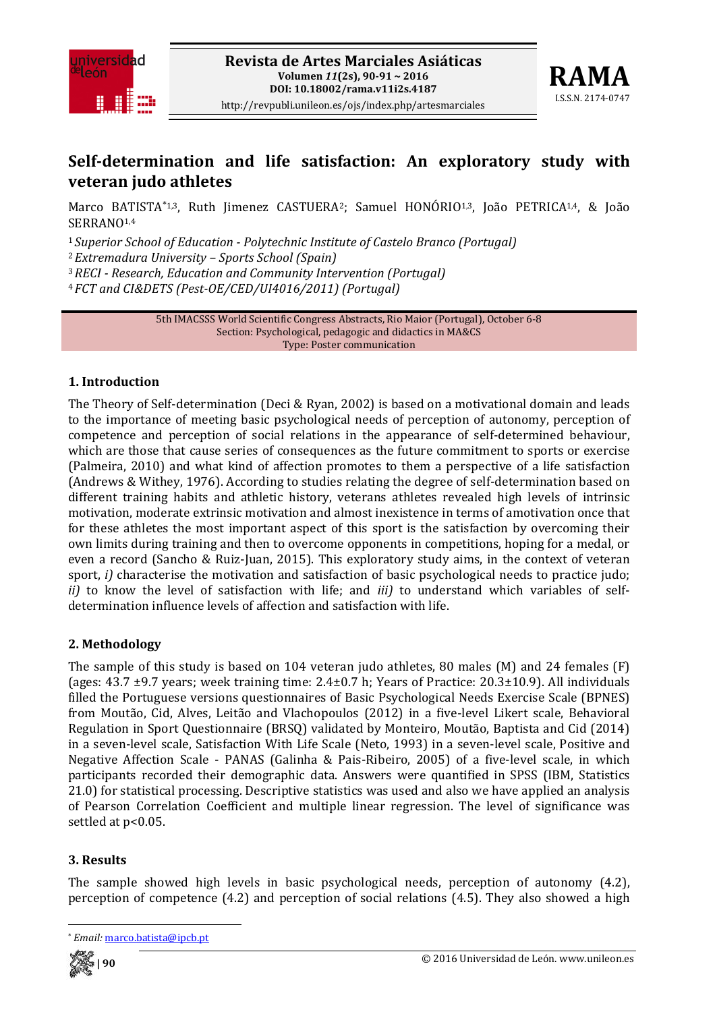



# **Selfdetermination and life satisfaction: An exploratory study with veteran judo athletes**

Marco BATISTA\*1.3, Ruth Jimenez CASTUERA<sup>2</sup>; Samuel HONÓRIO<sup>1,3</sup>, João PETRICA<sup>1,4</sup>, & João SERRANO1,4

<sup>1</sup>*Superior School of Education Polytechnic Institute of Castelo Branco (Portugal)*

<sup>2</sup>*Extremadura University – Sports School (Spain)*

<sup>3</sup>*RECI Research, Education and Community Intervention (Portugal)*

<sup>4</sup>*FCT and CI&DETS (PestOE/CED/UI4016/2011) (Portugal)*

5th IMACSSS World Scientific Congress Abstracts, Rio Maior (Portugal), October 6‐8 Section: Psychological, pedagogic and didactics in MA&CS Type: Poster communication

### **1. Introduction**

The Theory of Self-determination (Deci & Ryan, 2002) is based on a motivational domain and leads to the importance of meeting basic psychological needs of perception of autonomy, perception of competence and perception of social relations in the appearance of self-determined behaviour, which are those that cause series of consequences as the future commitment to sports or exercise (Palmeira, 2010) and what kind of affection promotes to them a perspective of a life satisfaction (Andrews & Withey, 1976). According to studies relating the degree of self‐determination based on different training habits and athletic history, veterans athletes revealed high levels of intrinsic motivation, moderate extrinsic motivation and almost inexistence in terms of amotivation once that for these athletes the most important aspect of this sport is the satisfaction by overcoming their own limits during training and then to overcome opponents in competitions, hoping for a medal, or even a record (Sancho & Ruiz-Juan, 2015). This exploratory study aims, in the context of veteran sport, *i*) characterise the motivation and satisfaction of basic psychological needs to practice judo; *ii*) to know the level of satisfaction with life; and *iii*) to understand which variables of selfdetermination influence levels of affection and satisfaction with life.

#### **2. Methodology**

The sample of this study is based on 104 veteran judo athletes, 80 males (M) and 24 females (F) (ages: 43.7 ±9.7 years; week training time: 2.4±0.7 h; Years of Practice: 20.3±10.9). All individuals filled the Portuguese versions questionnaires of Basic Psychological Needs Exercise Scale (BPNES) from Moutão, Cid, Alves, Leitão and Vlachopoulos (2012) in a five-level Likert scale, Behavioral Regulation in Sport Questionnaire (BRSQ) validated by Monteiro, Moutão, Baptista and Cid (2014) in a seven-level scale, Satisfaction With Life Scale (Neto, 1993) in a seven-level scale, Positive and Negative Affection Scale - PANAS (Galinha & Pais-Ribeiro, 2005) of a five-level scale, in which participants recorded their demographic data. Answers were quantified in SPSS (IBM, Statistics 21.0) for statistical processing. Descriptive statistics was used and also we have applied an analysis of Pearson Correlation Coefficient and multiple linear regression. The level of significance was settled at p<0.05.

#### **3. Results**

The sample showed high levels in basic psychological needs, perception of autonomy (4.2), perception of competence (4.2) and perception of social relations (4.5). They also showed a high



<sup>\*</sup> *Email:* marco.batista@ipcb.pt